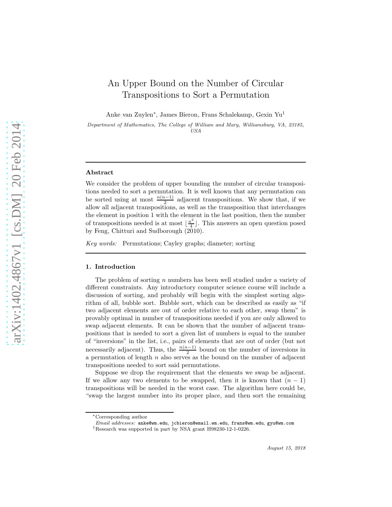# An Upper Bound on the Number of Circular Transpositions to Sort a Permutation

Anke van Zuylen<sup>∗</sup> , James Bieron, Frans Schalekamp, Gexin Yu<sup>1</sup>

Department of Mathematics, The College of William and Mary, Williamsburg, VA, 23185, USA

#### Abstract

We consider the problem of upper bounding the number of circular transpositions needed to sort a permutation. It is well known that any permutation can be sorted using at most  $\frac{n(n-1)}{2}$  adjacent transpositions. We show that, if we allow all adjacent transpositions, as well as the transposition that interchanges the element in position 1 with the element in the last position, then the number of transpositions needed is at most  $\lfloor \frac{n^2}{4} \rfloor$  $\lfloor \frac{n^2}{4} \rfloor$ . This answers an open question posed by Feng, Chitturi and Sudborough (2010).

Key words: Permutations; Cayley graphs; diameter; sorting

#### 1. Introduction

The problem of sorting n numbers has been well studied under a variety of different constraints. Any introductory computer science course will include a discussion of sorting, and probably will begin with the simplest sorting algorithm of all, bubble sort. Bubble sort, which can be described as easily as "if two adjacent elements are out of order relative to each other, swap them" is provably optimal in number of transpositions needed if you are only allowed to swap adjacent elements. It can be shown that the number of adjacent transpositions that is needed to sort a given list of numbers is equal to the number of "inversions" in the list, i.e., pairs of elements that are out of order (but not necessarily adjacent). Thus, the  $\frac{n(n-1)}{2}$  bound on the number of inversions in a permutation of length  $n$  also serves as the bound on the number of adjacent transpositions needed to sort said permutations.

Suppose we drop the requirement that the elements we swap be adjacent. If we allow any two elements to be swapped, then it is known that  $(n - 1)$ transpositions will be needed in the worst case. The algorithm here could be, "swap the largest number into its proper place, and then sort the remaining

<sup>∗</sup>Corresponding author

Email addresses: anke@wm.edu, jcbieron@email.wm.edu, frans@wm.edu, gyu@wm.com

<sup>1</sup>Research was supported in part by NSA grant H98230-12-1-0226.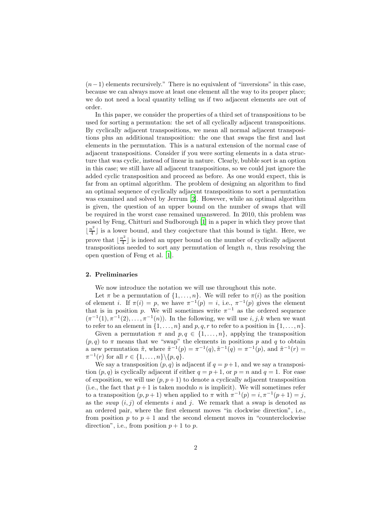$(n-1)$  elements recursively." There is no equivalent of "inversions" in this case, because we can always move at least one element all the way to its proper place; we do not need a local quantity telling us if two adjacent elements are out of order.

In this paper, we consider the properties of a third set of transpositions to be used for sorting a permutation: the set of all cyclically adjacent transpositions. By cyclically adjacent transpositions, we mean all normal adjacent transpositions plus an additional transposition: the one that swaps the first and last elements in the permutation. This is a natural extension of the normal case of adjacent transpositions. Consider if you were sorting elements in a data structure that was cyclic, instead of linear in nature. Clearly, bubble sort is an option in this case; we still have all adjacent transpositions, so we could just ignore the added cyclic transposition and proceed as before. As one would expect, this is far from an optimal algorithm. The problem of designing an algorithm to find an optimal sequence of cyclically adjacent transpositions to sort a permutation was examined and solved by Jerrum [\[2](#page-8-0)]. However, while an optimal algorithm is given, the question of an upper bound on the number of swaps that will be required in the worst case remained unanswered. In 2010, this problem was posed by Feng, Chitturi and Sudborough [\[1\]](#page-8-1) in a paper in which they prove that  $\left[\frac{n^2}{4}\right]$  $\frac{a^2}{4}$  is a lower bound, and they conjecture that this bound is tight. Here, we prove that  $\frac{n^2}{4}$  $\lfloor \frac{n^2}{4} \rfloor$  is indeed an upper bound on the number of cyclically adjacent transpositions needed to sort any permutation of length  $n$ , thus resolving the open question of Feng et al. [\[1\]](#page-8-1).

### 2. Preliminaries

We now introduce the notation we will use throughout this note.

Let  $\pi$  be a permutation of  $\{1, \ldots, n\}$ . We will refer to  $\pi(i)$  as the position of element *i*. If  $\pi(i) = p$ , we have  $\pi^{-1}(p) = i$ , i.e.,  $\pi^{-1}(p)$  gives the element that is in position p. We will sometimes write  $\pi^{-1}$  as the ordered sequence  $(\pi^{-1}(1), \pi^{-1}(2), \ldots, \pi^{-1}(n))$ . In the following, we will use  $i, j, k$  when we want to refer to an element in  $\{1, \ldots, n\}$  and  $p, q, r$  to refer to a position in  $\{1, \ldots, n\}$ .

Given a permutation  $\pi$  and  $p, q \in \{1, ..., n\}$ , applying the transposition  $(p, q)$  to  $\pi$  means that we "swap" the elements in positions p and q to obtain a new permutation  $\tilde{\pi}$ , where  $\tilde{\pi}^{-1}(p) = \pi^{-1}(q)$ ,  $\tilde{\pi}^{-1}(q) = \pi^{-1}(p)$ , and  $\tilde{\pi}^{-1}(r) =$  $\pi^{-1}(r)$  for all  $r \in \{1, \ldots, n\} \backslash \{p, q\}.$ 

We say a transposition  $(p, q)$  is adjacent if  $q = p + 1$ , and we say a transposition  $(p, q)$  is cyclically adjacent if either  $q = p + 1$ , or  $p = n$  and  $q = 1$ . For ease of exposition, we will use  $(p, p+1)$  to denote a cyclically adjacent transposition (i.e., the fact that  $p+1$  is taken modulo n is implicit). We will sometimes refer to a transposition  $(p, p+1)$  when applied to  $\pi$  with  $\pi^{-1}(p) = i, \pi^{-1}(p+1) = j$ , as the *swap*  $(i, j)$  of elements i and j. We remark that a swap is denoted as an ordered pair, where the first element moves "in clockwise direction", i.e., from position p to  $p + 1$  and the second element moves in "counterclockwise" direction", i.e., from position  $p + 1$  to  $p$ .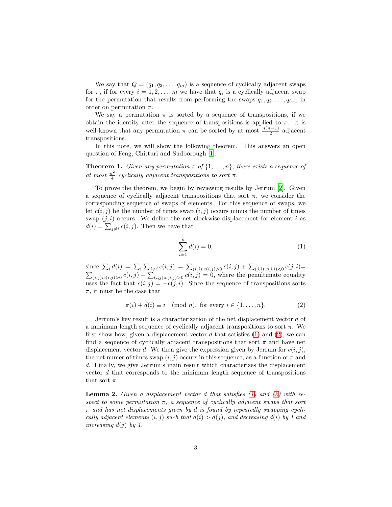We say that  $Q = (q_1, q_2, \ldots, q_m)$  is a sequence of cyclically adjacent swaps for  $\pi$ , if for every  $i = 1, 2, ..., m$  we have that  $q_i$  is a cyclically adjacent swap for the permutation that results from performing the swaps  $q_1, q_2, \ldots, q_{i-1}$  in order on permutation  $\pi$ .

We say a permutation  $\pi$  is sorted by a sequence of transpositions, if we obtain the identity after the sequence of transpositions is applied to  $\pi$ . It is well known that any permutation  $\pi$  can be sorted by at most  $\frac{n(n-1)}{2}$  adjacent transpositions.

In this note, we will show the following theorem. This answers an open question of Feng, Chitturi and Sudborough [\[1\]](#page-8-1).

**Theorem 1.** Given any permutation  $\pi$  of  $\{1, \ldots, n\}$ , there exists a sequence of at most  $\frac{n^2}{4}$  $\frac{d^2}{4}$  cyclically adjacent transpositions to sort  $\pi$ .

To prove the theorem, we begin by reviewing results by Jerrum [\[2\]](#page-8-0). Given a sequence of cyclically adjacent transpositions that sort  $\pi$ , we consider the corresponding sequence of swaps of elements. For this sequence of swaps, we let  $c(i, j)$  be the number of times swap  $(i, j)$  occurs minus the number of times swap  $(j, i)$  occurs. We define the net clockwise displacement for element i as  $d(i) = \sum_{j \neq i} c(i, j)$ . Then we have that

<span id="page-2-0"></span>
$$
\sum_{i=1}^{n} d(i) = 0,
$$
\n(1)

since  $\sum_i d(i) = \sum_i \sum_{j \neq i} c(i,j) = \sum_{(i,j):c(i,j)>0} c(i,j) + \sum_{(j,i):c(j,i) < 0} c(j,i) =$  $\sum_{(i,j):c(i,j)>0} c(i,j) - \sum_{(i,j):c(i,j)>0} c(i,j) = 0$ , where the penultimate equality uses the fact that  $c(i, j) = -c(j, i)$ . Since the sequence of transpositions sorts  $\pi$ , it must be the case that

<span id="page-2-1"></span>
$$
\pi(i) + d(i) \equiv i \pmod{n}, \text{ for every } i \in \{1, \dots, n\}. \tag{2}
$$

Jerrum's key result is a characterization of the net displacement vector d of a minimum length sequence of cyclically adjacent transpositions to sort  $\pi$ . We first show how, given a displacement vector  $d$  that satisfies  $(1)$  and  $(2)$ , we can find a sequence of cyclically adjacent transpositions that sort  $\pi$  and have net displacement vector d. We then give the expression given by Jerrum for  $c(i, j)$ , the net numer of times swap  $(i, j)$  occurs in this sequence, as a function of  $\pi$  and d. Finally, we give Jerrum's main result which characterizes the displacement vector d that corresponds to the minimum length sequence of transpositions that sort  $\pi$ .

<span id="page-2-2"></span>**Lemma 2.** Given a displacement vector d that satisfies  $(1)$  and  $(2)$  with respect to some permutation  $\pi$ , a sequence of cyclically adjacent swaps that sort  $\pi$  and has net displacements given by d is found by repeatedly swapping cyclically adjacent elements  $(i, j)$  such that  $d(i) > d(j)$ , and decreasing  $d(i)$  by 1 and increasing  $d(j)$  by 1.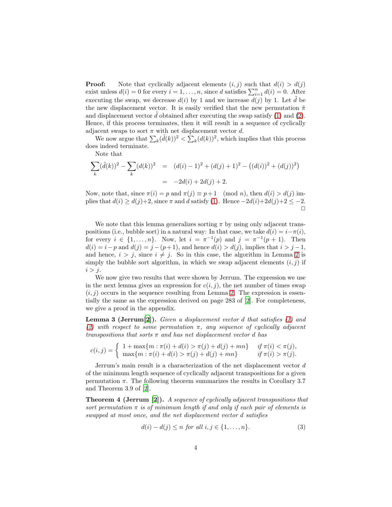**Proof:** Note that cyclically adjacent elements  $(i, j)$  such that  $d(i) > d(j)$ exist unless  $d(i) = 0$  for every  $i = 1, ..., n$ , since d satisfies  $\sum_{i=1}^{n} d(i) = 0$ . After executing the swap, we decrease  $d(i)$  by 1 and we increase  $d(j)$  by 1. Let  $\tilde{d}$  be the new displacement vector. It is easily verified that the new permutation  $\tilde{\pi}$ and displacement vector  $\tilde{d}$  obtained after executing the swap satisfy [\(1\)](#page-2-0) and [\(2\)](#page-2-1). Hence, if this process terminates, then it will result in a sequence of cyclically adjacent swaps to sort  $\pi$  with net displacement vector d.

We now argue that  $\sum_k (\tilde{d}(k))^2 < \sum_k (d(k))^2$ , which implies that this process does indeed terminate.

Note that

$$
\sum_{k} (\tilde{d}(k))^{2} - \sum_{k} (d(k))^{2} = (d(i) - 1)^{2} + (d(j) + 1)^{2} - ((d(i))^{2} + (d(j))^{2})
$$

$$
= -2d(i) + 2d(j) + 2.
$$

Now, note that, since  $\pi(i) = p$  and  $\pi(j) \equiv p+1 \pmod{n}$ , then  $d(i) > d(j)$  implies that  $d(i) \geq d(j)+2$ , since  $\pi$  and d satisfy [\(1\)](#page-2-0). Hence  $-2d(i)+2d(j)+2 \leq -2$ .  $\Box$ 

We note that this lemma generalizes sorting  $\pi$  by using only adjacent transpositions (i.e., bubble sort) in a natural way: In that case, we take  $d(i) = i - \pi(i)$ , for every  $i \in \{1, \ldots, n\}$ . Now, let  $i = \pi^{-1}(p)$  and  $j = \pi^{-1}(p+1)$ . Then  $d(i) = i - p$  and  $d(j) = j - (p + 1)$ , and hence  $d(i) > d(j)$ , implies that  $i > j - 1$ , and hence,  $i > j$ , since  $i \neq j$ . So in this case, the algorithm in Lemma [2](#page-2-2) is simply the bubble sort algorithm, in which we swap adjacent elements  $(i, j)$  if  $i > j$ .

We now give two results that were shown by Jerrum. The expression we use in the next lemma gives an expression for  $c(i, j)$ , the net number of times swap  $(i, j)$  occurs in the sequence resulting from Lemma [2.](#page-2-2) The expression is essentially the same as the expression derived on page 283 of [\[2\]](#page-8-0). For completeness, we give a proof in the appendix.

<span id="page-3-1"></span>**Lemma 3 (Jerrum**[\[2\]](#page-8-0)). Given a displacement vector  $d$  that satisfies  $(1)$  and [\(2\)](#page-2-1) with respect to some permutation  $\pi$ , any sequence of cyclically adjacent transpositions that sorts  $\pi$  and has net displacement vector d has

$$
c(i,j) = \begin{cases} 1 + \max\{m : \pi(i) + d(i) > \pi(j) + d(j) + mn\} & \text{if } \pi(i) < \pi(j), \\ \max\{m : \pi(i) + d(i) > \pi(j) + d(j) + mn\} & \text{if } \pi(i) > \pi(j). \end{cases}
$$

Jerrum's main result is a characterization of the net displacement vector d of the minimum length sequence of cyclically adjacent transpositions for a given permutation  $\pi$ . The following theorem summarizes the results in Corollary 3.7 and Theorem 3.9 of [\[2](#page-8-0)].

Theorem 4 (Jerrum [\[2\]](#page-8-0)). A sequence of cyclically adjacent transpositions that sort permutation  $\pi$  is of minimum length if and only if each pair of elements is swapped at most once, and the net displacement vector d satisfies

<span id="page-3-0"></span>
$$
d(i) - d(j) \le n \text{ for all } i, j \in \{1, \dots, n\}.
$$
\n
$$
(3)
$$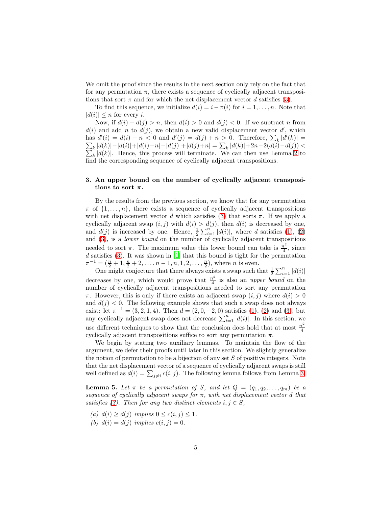We omit the proof since the results in the next section only rely on the fact that for any permutation  $\pi$ , there exists a sequence of cyclically adjacent transpositions that sort  $\pi$  and for which the net displacement vector d satisfies [\(3\)](#page-3-0).

To find this sequence, we initialize  $d(i) = i - \pi(i)$  for  $i = 1, \ldots, n$ . Note that  $|d(i)| \leq n$  for every *i*.

Now, if  $d(i) - d(j) > n$ , then  $d(i) > 0$  and  $d(j) < 0$ . If we subtract n from  $d(i)$  and add n to  $d(j)$ , we obtain a new valid displacement vector d', which has  $d'(i) = d(i) - n < 0$  and  $d'(j) = d(j) + n > 0$ . Therefore,  $\sum_{k} |d'(i)|$  $\sum$  $(k)| =$  $\sum_{k} |d(k)| - |d(i)| + |d(i) - n| - |d(j)| + |d(j) + n| = \sum_{k}$ <br> $\sum_{k} |d(k)|$ . Hence, this process will terminate. We  $|d(k)|+2n-2(d(i)-d(j))$  <  $_{k}$  |d(k)|. Hence, this process will terminate. We can then use Lemma [2](#page-2-2) to find the corresponding sequence of cyclically adjacent transpositions.

# 3. An upper bound on the number of cyclically adjacent transpositions to sort  $\pi$ .

By the results from the previous section, we know that for any permutation  $\pi$  of  $\{1, \ldots, n\}$ , there exists a sequence of cyclically adjacent transpositions with net displacement vector d which satisfies [\(3\)](#page-3-0) that sorts  $\pi$ . If we apply a cyclically adjacent swap  $(i, j)$  with  $d(i) > d(j)$ , then  $d(i)$  is decreased by one, and  $d(j)$  is increased by one. Hence,  $\frac{1}{2}\sum_{i=1}^{n} |d(i)|$ , where d satisfies [\(1\)](#page-2-0), [\(2\)](#page-2-1) and [\(3\)](#page-3-0), is a lower bound on the number of cyclically adjacent transpositions needed to sort  $\pi$ . The maximum value this lower bound can take is  $\frac{n^2}{4}$  $\frac{i^2}{4}$ , since  $d$  satisfies [\(3\)](#page-3-0). It was shown in [\[1\]](#page-8-1) that this bound is tight for the permutation  $\pi^{-1} = (\frac{n}{2} + 1, \frac{n}{2} + 2, \dots, n - 1, n, 1, 2, \dots, \frac{n}{2})$ , where *n* is even.

One might conjecture that there always exists a swap such that  $\frac{1}{2} \sum_{i=1}^{n} |d(i)|$ decreases by one, which would prove that  $\frac{n^2}{4}$  $\frac{v^2}{4}$  is also an *upper bound* on the number of cyclically adjacent transpositions needed to sort any permutation π. However, this is only if there exists an adjacent swap  $(i, j)$  where  $d(i) > 0$ and  $d(j) < 0$ . The following example shows that such a swap does not always exist: let  $\pi^{-1} = (3, 2, 1, 4)$ . Then  $d = (2, 0, -2, 0)$  satisfies  $(1), (2)$  $(1), (2)$  and  $(3),$  but any cyclically adjacent swap does not decrease  $\sum_{i=1}^{n} |d(i)|$ . In this section, we use different techniques to show that the conclusion does hold that at most  $\frac{n^2}{4}$ cyclically adjacent transpositions suffice to sort any permutation  $\pi$ .

We begin by stating two auxiliary lemmas. To maintain the flow of the argument, we defer their proofs until later in this section. We slightly generalize the notion of permutation to be a bijection of any set S of positive integers. Note that the net displacement vector of a sequence of cyclically adjacent swaps is still well defined as  $d(i) = \sum_{j \neq i} c(i, j)$ . The following lemma follows from Lemma [3.](#page-3-1)

<span id="page-4-0"></span>**Lemma 5.** Let  $\pi$  be a permutation of S, and let  $Q = (q_1, q_2, \ldots, q_m)$  be a sequence of cyclically adjacent swaps for  $\pi$ , with net displacement vector d that satisfies [\(3\)](#page-3-0). Then for any two distinct elements  $i, j \in S$ ,

- (a)  $d(i) \geq d(j)$  implies  $0 \leq c(i, j) \leq 1$ .
- (b)  $d(i) = d(j)$  implies  $c(i, j) = 0$ .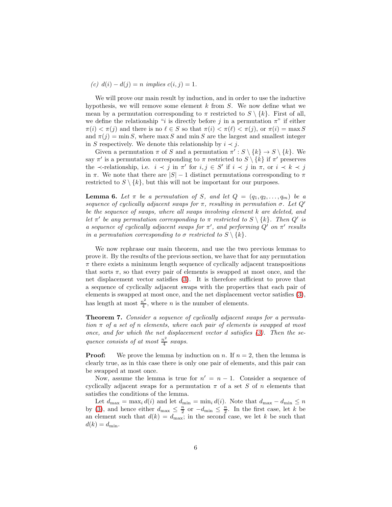## (c)  $d(i) - d(j) = n$  implies  $c(i, j) = 1$ .

We will prove our main result by induction, and in order to use the inductive hypothesis, we will remove some element  $k$  from  $S$ . We now define what we mean by a permutation corresponding to  $\pi$  restricted to  $S \setminus \{k\}$ . First of all, we define the relationship "i is directly before j in a permutation  $\pi$ " if either  $\pi(i) < \pi(j)$  and there is no  $\ell \in S$  so that  $\pi(i) < \pi(\ell) < \pi(j)$ , or  $\pi(i) = \max S$ and  $\pi(j) = \min S$ , where  $\max S$  and  $\min S$  are the largest and smallest integer in S respectively. We denote this relationship by  $i \prec j$ .

Given a permutation  $\pi$  of S and a permutation  $\pi': S \setminus \{k\} \to S \setminus \{k\}.$  We say  $\pi'$  is a permutation corresponding to  $\pi$  restricted to  $S \setminus \{k\}$  if  $\pi'$  preserves the  $\prec$ -relationship, i.e.  $i \prec j$  in  $\pi'$  for  $i, j \in S'$  if  $i \prec j$  in  $\pi$ , or  $i \prec k \prec j$ in  $\pi$ . We note that there are  $|S| - 1$  distinct permutations corresponding to  $\pi$ restricted to  $S \setminus \{k\}$ , but this will not be important for our purposes.

<span id="page-5-0"></span>**Lemma 6.** Let  $\pi$  be a permutation of S, and let  $Q = (q_1, q_2, \ldots, q_m)$  be a sequence of cyclically adjacent swaps for  $\pi$ , resulting in permutation  $\sigma$ . Let  $Q'$ be the sequence of swaps, where all swaps involving element k are deleted, and let  $\pi'$  be any permutation corresponding to  $\pi$  restricted to  $S \setminus \{k\}$ . Then  $Q'$  is a sequence of cyclically adjacent swaps for  $\pi'$ , and performing  $Q'$  on  $\pi'$  results in a permutation corresponding to  $\sigma$  restricted to  $S \setminus \{k\}.$ 

We now rephrase our main theorem, and use the two previous lemmas to prove it. By the results of the previous section, we have that for any permutation  $\pi$  there exists a minimum length sequence of cyclically adjacent transpositions that sorts  $\pi$ , so that every pair of elements is swapped at most once, and the net displacement vector satisfies [\(3\)](#page-3-0). It is therefore sufficient to prove that a sequence of cyclically adjacent swaps with the properties that each pair of elements is swapped at most once, and the net displacement vector satisfies [\(3\)](#page-3-0), has length at most  $\frac{n^2}{4}$  $\frac{n^2}{4}$ , where *n* is the number of elements.

Theorem 7. Consider a sequence of cyclically adjacent swaps for a permutation  $\pi$  of a set of n elements, where each pair of elements is swapped at most once, and for which the net displacement vector d satisfies [\(3\)](#page-3-0). Then the sequence consists of at most  $\frac{n^2}{4}$  $rac{v}{4}$  swaps.

**Proof:** We prove the lemma by induction on n. If  $n = 2$ , then the lemma is clearly true, as in this case there is only one pair of elements, and this pair can be swapped at most once.

Now, assume the lemma is true for  $n' = n - 1$ . Consider a sequence of cyclically adjacent swaps for a permutation  $\pi$  of a set S of n elements that satisfies the conditions of the lemma.

Let  $d_{\text{max}} = \max_i d(i)$  and let  $d_{\text{min}} = \min_i d(i)$ . Note that  $d_{\text{max}} - d_{\text{min}} \leq n$ by [\(3\)](#page-3-0), and hence either  $d_{\max} \leq \frac{n}{2}$  or  $-d_{\min} \leq \frac{n}{2}$ . In the first case, let k be an element such that  $d(k) = d_{\text{max}}$ ; in the second case, we let k be such that  $d(k) = d_{\min}$ .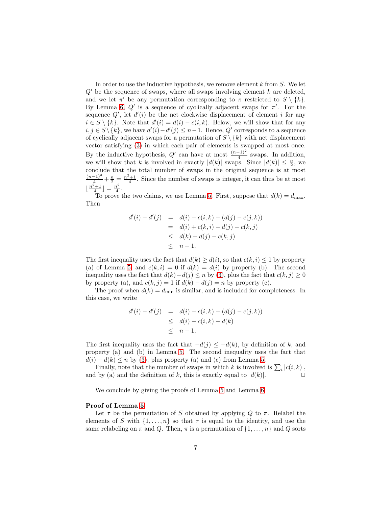In order to use the inductive hypothesis, we remove element  $k$  from  $S$ . We let  $Q'$  be the sequence of swaps, where all swaps involving element k are deleted, and we let  $\pi'$  be any permutation corresponding to  $\pi$  restricted to  $S \setminus \{k\}.$ By Lemma [6,](#page-5-0)  $Q'$  is a sequence of cyclically adjacent swaps for  $\pi'$ . For the sequence  $Q'$ , let  $d'(i)$  be the net clockwise displacement of element i for any  $i \in S \setminus \{k\}$ . Note that  $d'(i) = d(i) - c(i, k)$ . Below, we will show that for any  $i, j \in S \setminus \{k\},\$ we have  $d'(i) - d'(j) \leq n-1.$  Hence,  $Q'$  corresponds to a sequence of cyclically adjacent swaps for a permutation of  $S \setminus \{k\}$  with net displacement vector satisfying [\(3\)](#page-3-0) in which each pair of elements is swapped at most once. By the inductive hypothesis,  $Q'$  can have at most  $\frac{(n-1)^2}{4}$  swaps. In addition, we will show that k is involved in exactly  $|d(k)|$  swaps. Since  $|d(k)| \leq \frac{n}{2}$ , we conclude that the total number of swaps in the original sequence is at most  $\frac{(n-1)^2}{4} + \frac{n}{2} = \frac{n^2+1}{4}$ . Since the number of swaps is integer, it can thus be at most  $\lfloor \frac{n^2+1}{4} \rfloor = \frac{n^2}{4}$  $\frac{\imath^2}{4}$ .

To prove the two claims, we use Lemma [5.](#page-4-0) First, suppose that  $d(k) = d_{\text{max}}$ . Then

$$
d'(i) - d'(j) = d(i) - c(i,k) - (d(j) - c(j,k))
$$
  
= d(i) + c(k,i) - d(j) - c(k,j)  

$$
\leq d(k) - d(j) - c(k,j)
$$
  

$$
\leq n - 1.
$$

The first inequality uses the fact that  $d(k) \geq d(i)$ , so that  $c(k, i) \leq 1$  by property (a) of Lemma [5,](#page-4-0) and  $c(k, i) = 0$  if  $d(k) = d(i)$  by property (b). The second inequality uses the fact that  $d(k)-d(j) \leq n$  by [\(3\)](#page-3-0), plus the fact that  $c(k, j) \geq 0$ by property (a), and  $c(k, j) = 1$  if  $d(k) - d(j) = n$  by property (c).

The proof when  $d(k) = d_{\text{min}}$  is similar, and is included for completeness. In this case, we write

$$
d'(i) - d'(j) = d(i) - c(i,k) - (d(j) - c(j,k))
$$
  
\n
$$
\leq d(i) - c(i,k) - d(k)
$$
  
\n
$$
\leq n - 1.
$$

The first inequality uses the fact that  $-d(j) \leq -d(k)$ , by definition of k, and property (a) and (b) in Lemma [5.](#page-4-0) The second inequality uses the fact that  $d(i) - d(k) \leq n$  by [\(3\)](#page-3-0), plus property (a) and (c) from Lemma [5.](#page-4-0)

Finally, note that the number of swaps in which k is involved is  $\sum_i |c(i, k)|$ , and by (a) and the definition of k, this is exactly equal to  $|d(k)|$ .

We conclude by giving the proofs of Lemma [5](#page-4-0) and Lemma [6.](#page-5-0)

#### Proof of Lemma [5:](#page-4-0)

Let  $\tau$  be the permutation of S obtained by applying Q to  $\pi$ . Relabel the elements of S with  $\{1, \ldots, n\}$  so that  $\tau$  is equal to the identity, and use the same relabeling on  $\pi$  and Q. Then,  $\pi$  is a permutation of  $\{1, \ldots, n\}$  and Q sorts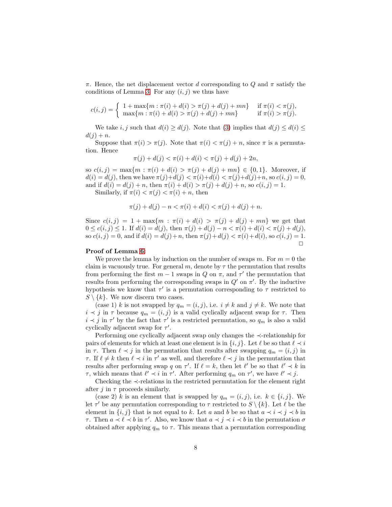$\pi$ . Hence, the net displacement vector d corresponding to Q and  $\pi$  satisfy the conditions of Lemma [3.](#page-3-1) For any  $(i, j)$  we thus have

$$
c(i,j) = \begin{cases} 1 + \max\{m : \pi(i) + d(i) > \pi(j) + d(j) + mn\} & \text{if } \pi(i) < \pi(j), \\ \max\{m : \pi(i) + d(i) > \pi(j) + d(j) + mn\} & \text{if } \pi(i) > \pi(j). \end{cases}
$$

We take i, j such that  $d(i) \geq d(j)$ . Note that  $(3)$  implies that  $d(j) \leq d(i) \leq j$  $d(j) + n$ .

Suppose that  $\pi(i) > \pi(j)$ . Note that  $\pi(i) < \pi(j) + n$ , since  $\pi$  is a permutation. Hence

$$
\pi(j) + d(j) < \pi(i) + d(i) < \pi(j) + d(j) + 2n,
$$

so  $c(i, j) = \max\{m : \pi(i) + d(i) > \pi(j) + d(j) + mn\} \in \{0, 1\}.$  Moreover, if  $d(i) = d(j)$ , then we have  $\pi(j)+d(j) < \pi(i)+d(i) < \pi(j)+d(j)+n$ , so  $c(i, j) = 0$ , and if  $d(i) = d(j) + n$ , then  $\pi(i) + d(i) > \pi(j) + d(j) + n$ , so  $c(i, j) = 1$ .

Similarly, if  $\pi(i) < \pi(j) < \pi(i) + n$ , then

$$
\pi(j) + d(j) - n < \pi(i) + d(i) < \pi(j) + d(j) + n.
$$

Since  $c(i, j) = 1 + \max\{m : \pi(i) + d(i) > \pi(j) + d(j) + mn\}$  we get that  $0 \leq c(i, j) \leq 1$ . If  $d(i) = d(j)$ , then  $\pi(j) + d(j) - n < \pi(i) + d(i) < \pi(j) + d(j)$ , so  $c(i, j) = 0$ , and if  $d(i) = d(j) + n$ , then  $\pi(j) + d(j) < \pi(i) + d(i)$ , so  $c(i, j) = 1$ .  $\Box$ 

#### Proof of Lemma [6:](#page-5-0)

We prove the lemma by induction on the number of swaps m. For  $m = 0$  the claim is vacuously true. For general m, denote by  $\tau$  the permutation that results from performing the first  $m-1$  swaps in Q on  $\pi$ , and  $\tau'$  the permutation that results from performing the corresponding swaps in  $Q'$  on  $\pi'$ . By the inductive hypothesis we know that  $\tau'$  is a permutation corresponding to  $\tau$  restricted to  $S \setminus \{k\}$ . We now discern two cases.

(case 1) k is not swapped by  $q_m = (i, j)$ , i.e.  $i \neq k$  and  $j \neq k$ . We note that  $i \prec j$  in  $\tau$  because  $q_m = (i, j)$  is a valid cyclically adjacent swap for  $\tau$ . Then  $i \prec j$  in  $\tau'$  by the fact that  $\tau'$  is a restricted permutation, so  $q_m$  is also a valid cyclically adjacent swap for  $\tau'$ .

Performing one cyclically adjacent swap only changes the ≺-relationship for pairs of elements for which at least one element is in  $\{i, j\}$ . Let  $\ell$  be so that  $\ell \prec i$ in  $\tau$ . Then  $\ell \prec j$  in the permutation that results after swapping  $q_m = (i, j)$  in  $\tau$ . If  $\ell \neq k$  then  $\ell \prec i$  in  $\tau'$  as well, and therefore  $\ell \prec j$  in the permutation that results after performing swap q on  $\tau'$ . If  $\ell = k$ , then let  $\ell'$  be so that  $\ell' \prec k$  in  $\tau$ , which means that  $\ell' \prec i$  in  $\tau'$ . After performing  $q_m$  on  $\tau'$ , we have  $\ell' \prec j$ .

Checking the ≺-relations in the restricted permutation for the element right after j in  $\tau$  proceeds similarly.

(case 2) k is an element that is swapped by  $q_m = (i, j)$ , i.e.  $k \in \{i, j\}$ . We let  $\tau'$  be any permutation corresponding to  $\tau$  restricted to  $S \setminus \{k\}$ . Let  $\ell$  be the element in  $\{i, j\}$  that is not equal to k. Let a and b be so that  $a \prec i \prec j \prec b$  in  $τ.$  Then  $a \prec l \prec b$  in τ'. Also, we know that  $a \prec j \prec i \prec b$  in the permutation  $σ$ obtained after applying  $q_m$  to  $\tau$ . This means that a permutation corresponding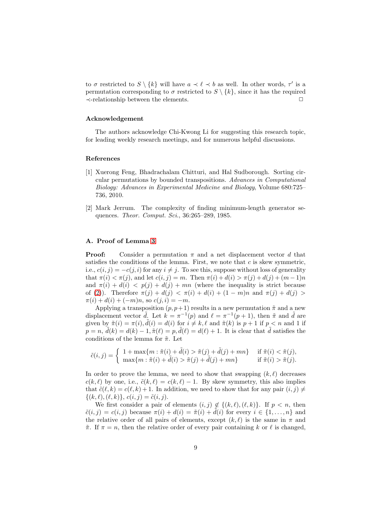to  $\sigma$  restricted to  $S \setminus \{k\}$  will have  $a \prec \ell \prec b$  as well. In other words,  $\tau'$  is a permutation corresponding to  $\sigma$  restricted to  $S \setminus \{k\}$ , since it has the required ≺-relationship between the elements. ✷

#### Acknowledgement

The authors acknowledge Chi-Kwong Li for suggesting this research topic, for leading weekly research meetings, and for numerous helpful discussions.

#### References

- <span id="page-8-1"></span>[1] Xuerong Feng, Bhadrachalam Chitturi, and Hal Sudborough. Sorting circular permutations by bounded transpositions. Advances in Computational Biology: Advances in Experimental Medicine and Biology, Volume 680:725– 736, 2010.
- <span id="page-8-0"></span>[2] Mark Jerrum. The complexity of finding minimum-length generator sequences. *Theor. Comput. Sci.*, 36:265–289, 1985.

### A. Proof of Lemma [3](#page-3-1)

**Proof:** Consider a permutation  $\pi$  and a net displacement vector d that satisfies the conditions of the lemma. First, we note that  $c$  is skew symmetric, i.e.,  $c(i, j) = -c(j, i)$  for any  $i \neq j$ . To see this, suppose without loss of generality that  $\pi(i) < \pi(j)$ , and let  $c(i, j) = m$ . Then  $\pi(i) + d(i) > \pi(j) + d(j) + (m-1)n$ and  $\pi(i) + d(i) < p(j) + d(j) + mn$  (where the inequality is strict because of [\(2\)](#page-2-1)). Therefore  $\pi(j) + d(j) < \pi(i) + d(i) + (1 - m)n$  and  $\pi(j) + d(j) >$  $\pi(i) + d(i) + (-m)n$ , so  $c(i, i) = -m$ .

Applying a transposition  $(p, p+1)$  results in a new permutation  $\tilde{\pi}$  and a new displacement vector  $\tilde{d}$ . Let  $k = \pi^{-1}(p)$  and  $\ell = \pi^{-1}(p+1)$ , then  $\tilde{\pi}$  and  $\tilde{d}$  are given by  $\tilde{\pi}(i) = \pi(i)$ ,  $\tilde{d}(i) = d(i)$  for  $i \neq k$ ,  $\ell$  and  $\tilde{\pi}(k)$  is  $p+1$  if  $p < n$  and 1 if  $p = n, \, \tilde{d}(k) = d(k) - 1, \tilde{\pi}(\ell) = p, \tilde{d}(\ell) = d(\ell) + 1.$  It is clear that  $\tilde{d}$  satisfies the conditions of the lemma for  $\tilde{\pi}$ . Let

$$
\tilde{c}(i,j) = \begin{cases}\n1 + \max\{m : \tilde{\pi}(i) + \tilde{d}(i) > \tilde{\pi}(j) + \tilde{d}(j) + mn\} & \text{if } \tilde{\pi}(i) < \tilde{\pi}(j), \\
\max\{m : \tilde{\pi}(i) + \tilde{d}(i) > \tilde{\pi}(j) + \tilde{d}(j) + mn\} & \text{if } \tilde{\pi}(i) > \tilde{\pi}(j).\n\end{cases}
$$

In order to prove the lemma, we need to show that swapping  $(k, \ell)$  decreases  $c(k, \ell)$  by one, i.e.,  $\tilde{c}(k, \ell) = c(k, \ell) - 1$ . By skew symmetry, this also implies that  $\tilde{c}(\ell,k) = c(\ell,k) + 1$ . In addition, we need to show that for any pair  $(i, j) \neq j$  $\{(k,\ell),(\ell,k)\},\,c(i,j)=\tilde{c}(i,j).$ 

We first consider a pair of elements  $(i, j) \notin \{(k, \ell), (\ell, k)\}.$  If  $p < n$ , then  $\tilde{c}(i, j) = c(i, j)$  because  $\pi(i) + d(i) = \tilde{\pi}(i) + d(i)$  for every  $i \in \{1, \ldots, n\}$  and the relative order of all pairs of elements, except  $(k, \ell)$  is the same in  $\pi$  and  $\tilde{\pi}$ . If  $\pi = n$ , then the relative order of every pair containing k or  $\ell$  is changed,